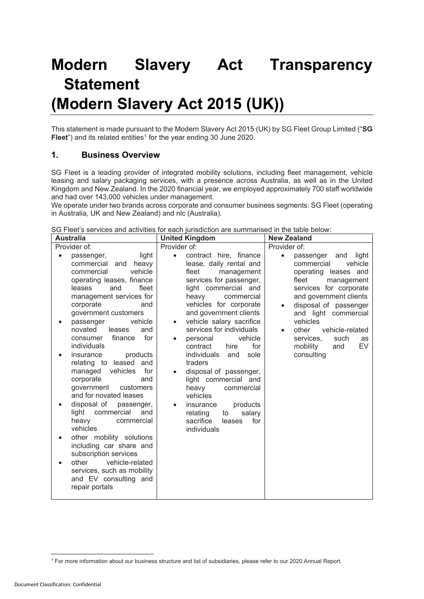# **Modern Slavery Act Transparency Statement (Modern Slavery Act 2015 (UK))**

This statement is made pursuant to the Modern Slavery Act 2015 (UK) by SG Fleet Group Limited ("**SG Fleet**") and its related entities<sup>[1](#page-0-0)</sup> for the year ending 30 June 2020.

#### **1. Business Overview**

SG Fleet is a leading provider of integrated mobility solutions, including fleet management, vehicle leasing and salary packaging services, with a presence across Australia, as well as in the United Kingdom and New Zealand. In the 2020 financial year, we employed approximately 700 staff worldwide and had over 143,000 vehicles under management.

We operate under two brands across corporate and consumer business segments: SG Fleet (operating in Australia, UK and New Zealand) and nlc (Australia).

| <b>Australia</b>                                                                                                                                                                                                                                                                                                                                                                                                                                                                                                                                                                                                                                                                                                                                       | <b>United Kingdom</b>                                                                                                                                                                                                                                                                                                                                                                                                                                                                                                                                                                                | <b>New Zealand</b>                                                                                                                                                                                                                                                                                                                         |
|--------------------------------------------------------------------------------------------------------------------------------------------------------------------------------------------------------------------------------------------------------------------------------------------------------------------------------------------------------------------------------------------------------------------------------------------------------------------------------------------------------------------------------------------------------------------------------------------------------------------------------------------------------------------------------------------------------------------------------------------------------|------------------------------------------------------------------------------------------------------------------------------------------------------------------------------------------------------------------------------------------------------------------------------------------------------------------------------------------------------------------------------------------------------------------------------------------------------------------------------------------------------------------------------------------------------------------------------------------------------|--------------------------------------------------------------------------------------------------------------------------------------------------------------------------------------------------------------------------------------------------------------------------------------------------------------------------------------------|
| Provider of:                                                                                                                                                                                                                                                                                                                                                                                                                                                                                                                                                                                                                                                                                                                                           | Provider of:                                                                                                                                                                                                                                                                                                                                                                                                                                                                                                                                                                                         | Provider of:                                                                                                                                                                                                                                                                                                                               |
| light<br>passenger,<br>commercial<br>heavy<br>and<br>vehicle<br>commercial<br>operating leases, finance<br>fleet<br>leases<br>and<br>management services for<br>corporate<br>and<br>government customers<br>vehicle<br>passenger<br>novated<br>leases<br>and<br>for<br>finance<br>consumer<br>individuals<br>insurance<br>products<br>relating to leased<br>and<br>vehicles<br>for<br>managed<br>corporate<br>and<br>government<br>customers<br>and for novated leases<br>disposal of<br>passenger,<br>light commercial<br>and<br>heavy<br>commercial<br>vehicles<br>other mobility solutions<br>including car share and<br>subscription services<br>vehicle-related<br>other<br>services, such as mobility<br>and EV consulting and<br>repair portals | contract hire, finance<br>$\bullet$<br>lease, daily rental and<br>fleet<br>management<br>services for passenger,<br>light commercial and<br>heavy<br>commercial<br>vehicles for corporate<br>and government clients<br>vehicle salary sacrifice<br>$\bullet$<br>services for individuals<br>vehicle<br>personal<br>$\bullet$<br>for<br>contract<br>hire<br>individuals<br>sole<br>and<br>traders<br>disposal of passenger,<br>light commercial and<br>heavy<br>commercial<br>vehicles<br>products<br>insurance<br>$\bullet$<br>salary<br>relating<br>to<br>sacrifice<br>for<br>leases<br>individuals | light<br>passenger<br>and<br>$\bullet$<br>vehicle<br>commercial<br>operating leases and<br>fleet<br>management<br>services for corporate<br>and government clients<br>disposal of passenger<br>and light commercial<br>vehicles<br>vehicle-related<br>other<br>$\bullet$<br>services.<br>such<br>as<br>EV<br>mobility<br>and<br>consulting |

SG Fleet's services and activities for each jurisdiction are summarised in the table below:

<span id="page-0-0"></span><sup>1</sup> For more information about our business structure and list of subsidiaries, please refer to our 2020 Annual Report.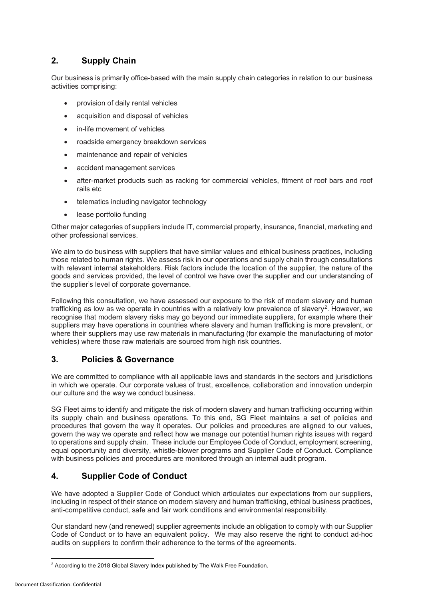# **2. Supply Chain**

Our business is primarily office-based with the main supply chain categories in relation to our business activities comprising:

- provision of daily rental vehicles
- acquisition and disposal of vehicles
- in-life movement of vehicles
- roadside emergency breakdown services
- maintenance and repair of vehicles
- accident management services
- after-market products such as racking for commercial vehicles, fitment of roof bars and roof rails etc
- telematics including navigator technology
- lease portfolio funding

Other major categories of suppliers include IT, commercial property, insurance, financial, marketing and other professional services.

We aim to do business with suppliers that have similar values and ethical business practices, including those related to human rights. We assess risk in our operations and supply chain through consultations with relevant internal stakeholders. Risk factors include the location of the supplier, the nature of the goods and services provided, the level of control we have over the supplier and our understanding of the supplier's level of corporate governance.

Following this consultation, we have assessed our exposure to the risk of modern slavery and human trafficking as low as we operate in countries with a relatively low prevalence of slavery<sup>[2](#page-1-0)</sup>. However, we recognise that modern slavery risks may go beyond our immediate suppliers, for example where their suppliers may have operations in countries where slavery and human trafficking is more prevalent, or where their suppliers may use raw materials in manufacturing (for example the manufacturing of motor vehicles) where those raw materials are sourced from high risk countries.

## **3. Policies & Governance**

We are committed to compliance with all applicable laws and standards in the sectors and jurisdictions in which we operate. Our corporate values of trust, excellence, collaboration and innovation underpin our culture and the way we conduct business.

SG Fleet aims to identify and mitigate the risk of modern slavery and human trafficking occurring within its supply chain and business operations. To this end, SG Fleet maintains a set of policies and procedures that govern the way it operates. Our policies and procedures are aligned to our values, govern the way we operate and reflect how we manage our potential human rights issues with regard to operations and supply chain. These include our Employee Code of Conduct, employment screening, equal opportunity and diversity, whistle-blower programs and Supplier Code of Conduct. Compliance with business policies and procedures are monitored through an internal audit program.

## **4. Supplier Code of Conduct**

We have adopted a Supplier Code of Conduct which articulates our expectations from our suppliers, including in respect of their stance on modern slavery and human trafficking, ethical business practices, anti-competitive conduct, safe and fair work conditions and environmental responsibility.

Our standard new (and renewed) supplier agreements include an obligation to comply with our Supplier Code of Conduct or to have an equivalent policy. We may also reserve the right to conduct ad-hoc audits on suppliers to confirm their adherence to the terms of the agreements.

<span id="page-1-0"></span><sup>&</sup>lt;sup>2</sup> According to the 2018 Global Slavery Index published by The Walk Free Foundation.